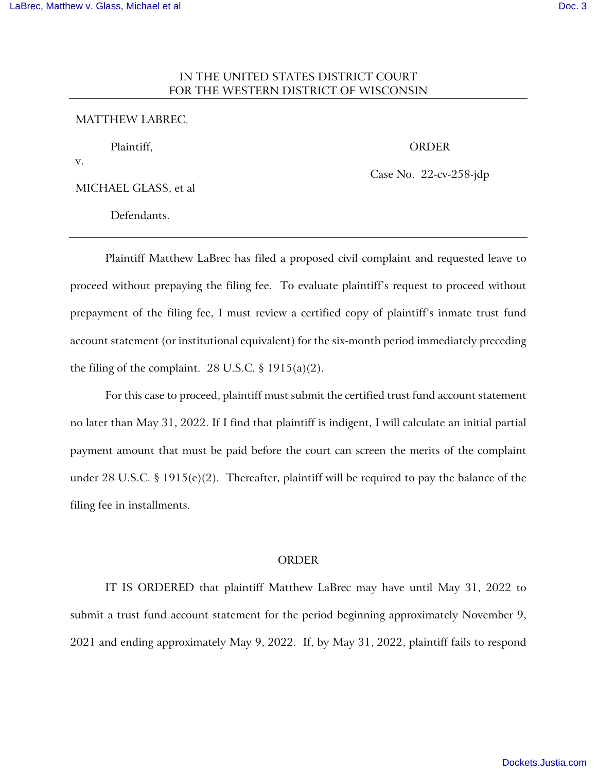## IN THE UNITED STATES DISTRICT COURT FOR THE WESTERN DISTRICT OF WISCONSIN

## MATTHEW LABREC,

Plaintiff,

ORDER

v.

MICHAEL GLASS, et al

Case No. 22-cv-258-jdp

Defendants.

Plaintiff Matthew LaBrec has filed a proposed civil complaint and requested leave to proceed without prepaying the filing fee. To evaluate plaintiff's request to proceed without prepayment of the filing fee, I must review a certified copy of plaintiff's inmate trust fund account statement (or institutional equivalent) for the six-month period immediately preceding the filing of the complaint. 28 U.S.C.  $\S$  1915(a)(2).

For this case to proceed, plaintiff must submit the certified trust fund account statement no later than May 31, 2022. If I find that plaintiff is indigent, I will calculate an initial partial payment amount that must be paid before the court can screen the merits of the complaint under 28 U.S.C. § 1915(e)(2). Thereafter, plaintiff will be required to pay the balance of the filing fee in installments.

## ORDER

IT IS ORDERED that plaintiff Matthew LaBrec may have until May 31, 2022 to submit a trust fund account statement for the period beginning approximately November 9, 2021 and ending approximately May 9, 2022. If, by May 31, 2022, plaintiff fails to respond